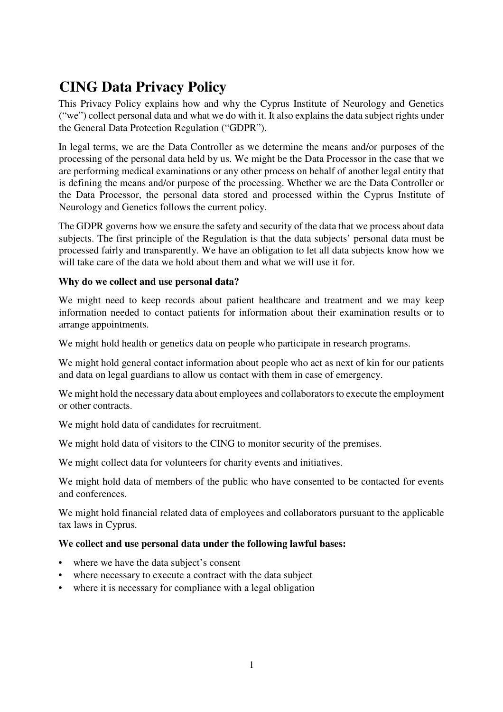# **CING Data Privacy Policy**

This Privacy Policy explains how and why the Cyprus Institute of Neurology and Genetics ("we") collect personal data and what we do with it. It also explains the data subject rights under the General Data Protection Regulation ("GDPR").

In legal terms, we are the Data Controller as we determine the means and/or purposes of the processing of the personal data held by us. We might be the Data Processor in the case that we are performing medical examinations or any other process on behalf of another legal entity that is defining the means and/or purpose of the processing. Whether we are the Data Controller or the Data Processor, the personal data stored and processed within the Cyprus Institute of Neurology and Genetics follows the current policy.

The GDPR governs how we ensure the safety and security of the data that we process about data subjects. The first principle of the Regulation is that the data subjects' personal data must be processed fairly and transparently. We have an obligation to let all data subjects know how we will take care of the data we hold about them and what we will use it for.

## **Why do we collect and use personal data?**

We might need to keep records about patient healthcare and treatment and we may keep information needed to contact patients for information about their examination results or to arrange appointments.

We might hold health or genetics data on people who participate in research programs.

We might hold general contact information about people who act as next of kin for our patients and data on legal guardians to allow us contact with them in case of emergency.

We might hold the necessary data about employees and collaborators to execute the employment or other contracts.

We might hold data of candidates for recruitment.

We might hold data of visitors to the CING to monitor security of the premises.

We might collect data for volunteers for charity events and initiatives.

We might hold data of members of the public who have consented to be contacted for events and conferences.

We might hold financial related data of employees and collaborators pursuant to the applicable tax laws in Cyprus.

## **We collect and use personal data under the following lawful bases:**

- where we have the data subject's consent
- where necessary to execute a contract with the data subject
- where it is necessary for compliance with a legal obligation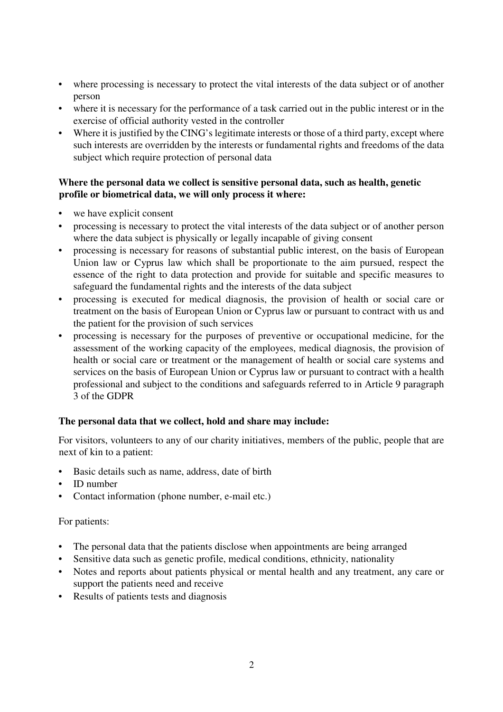- where processing is necessary to protect the vital interests of the data subject or of another person
- where it is necessary for the performance of a task carried out in the public interest or in the exercise of official authority vested in the controller
- Where it is justified by the CING's legitimate interests or those of a third party, except where such interests are overridden by the interests or fundamental rights and freedoms of the data subject which require protection of personal data

## **Where the personal data we collect is sensitive personal data, such as health, genetic profile or biometrical data, we will only process it where:**

- we have explicit consent
- processing is necessary to protect the vital interests of the data subject or of another person where the data subject is physically or legally incapable of giving consent
- processing is necessary for reasons of substantial public interest, on the basis of European Union law or Cyprus law which shall be proportionate to the aim pursued, respect the essence of the right to data protection and provide for suitable and specific measures to safeguard the fundamental rights and the interests of the data subject
- processing is executed for medical diagnosis, the provision of health or social care or treatment on the basis of European Union or Cyprus law or pursuant to contract with us and the patient for the provision of such services
- processing is necessary for the purposes of preventive or occupational medicine, for the assessment of the working capacity of the employees, medical diagnosis, the provision of health or social care or treatment or the management of health or social care systems and services on the basis of European Union or Cyprus law or pursuant to contract with a health professional and subject to the conditions and safeguards referred to in Article 9 paragraph 3 of the GDPR

## **The personal data that we collect, hold and share may include:**

For visitors, volunteers to any of our charity initiatives, members of the public, people that are next of kin to a patient:

- Basic details such as name, address, date of birth
- ID number
- Contact information (phone number, e-mail etc.)

## For patients:

- The personal data that the patients disclose when appointments are being arranged
- Sensitive data such as genetic profile, medical conditions, ethnicity, nationality
- Notes and reports about patients physical or mental health and any treatment, any care or support the patients need and receive
- Results of patients tests and diagnosis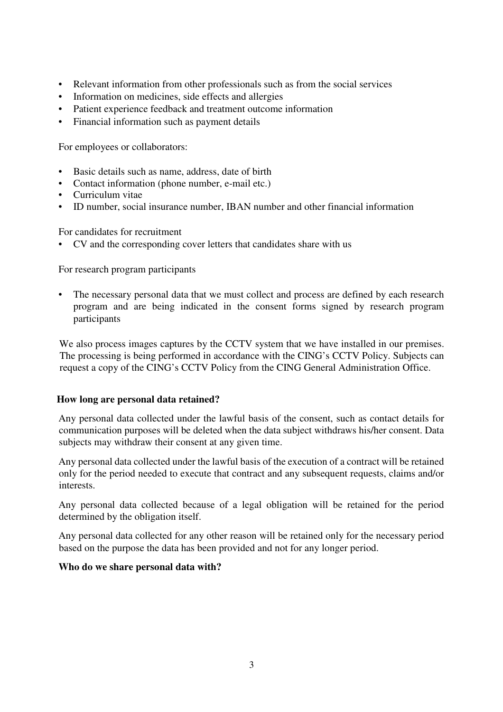- Relevant information from other professionals such as from the social services
- Information on medicines, side effects and allergies
- Patient experience feedback and treatment outcome information
- Financial information such as payment details

For employees or collaborators:

- Basic details such as name, address, date of birth
- Contact information (phone number, e-mail etc.)
- Curriculum vitae
- ID number, social insurance number, IBAN number and other financial information

For candidates for recruitment

• CV and the corresponding cover letters that candidates share with us

For research program participants

The necessary personal data that we must collect and process are defined by each research program and are being indicated in the consent forms signed by research program participants

We also process images captures by the CCTV system that we have installed in our premises. The processing is being performed in accordance with the CING's CCTV Policy. Subjects can request a copy of the CING's CCTV Policy from the CING General Administration Office.

#### **How long are personal data retained?**

Any personal data collected under the lawful basis of the consent, such as contact details for communication purposes will be deleted when the data subject withdraws his/her consent. Data subjects may withdraw their consent at any given time.

Any personal data collected under the lawful basis of the execution of a contract will be retained only for the period needed to execute that contract and any subsequent requests, claims and/or interests.

Any personal data collected because of a legal obligation will be retained for the period determined by the obligation itself.

Any personal data collected for any other reason will be retained only for the necessary period based on the purpose the data has been provided and not for any longer period.

#### **Who do we share personal data with?**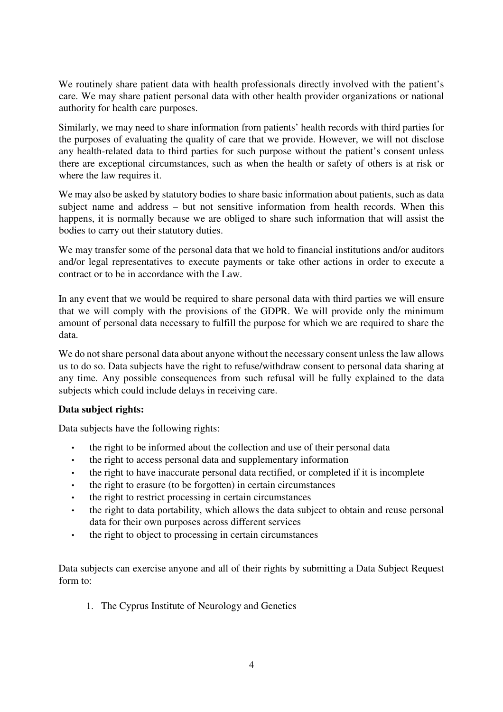We routinely share patient data with health professionals directly involved with the patient's care. We may share patient personal data with other health provider organizations or national authority for health care purposes.

Similarly, we may need to share information from patients' health records with third parties for the purposes of evaluating the quality of care that we provide. However, we will not disclose any health-related data to third parties for such purpose without the patient's consent unless there are exceptional circumstances, such as when the health or safety of others is at risk or where the law requires it.

We may also be asked by statutory bodies to share basic information about patients, such as data subject name and address – but not sensitive information from health records. When this happens, it is normally because we are obliged to share such information that will assist the bodies to carry out their statutory duties.

We may transfer some of the personal data that we hold to financial institutions and/or auditors and/or legal representatives to execute payments or take other actions in order to execute a contract or to be in accordance with the Law.

In any event that we would be required to share personal data with third parties we will ensure that we will comply with the provisions of the GDPR. We will provide only the minimum amount of personal data necessary to fulfill the purpose for which we are required to share the data.

We do not share personal data about anyone without the necessary consent unless the law allows us to do so. Data subjects have the right to refuse/withdraw consent to personal data sharing at any time. Any possible consequences from such refusal will be fully explained to the data subjects which could include delays in receiving care.

## **Data subject rights:**

Data subjects have the following rights:

- the right to be informed about the collection and use of their personal data
- the right to access personal data and supplementary information
- the right to have inaccurate personal data rectified, or completed if it is incomplete
- the right to erasure (to be forgotten) in certain circumstances
- the right to restrict processing in certain circumstances
- the right to data portability, which allows the data subject to obtain and reuse personal data for their own purposes across different services
- the right to object to processing in certain circumstances

Data subjects can exercise anyone and all of their rights by submitting a Data Subject Request form to:

1. The Cyprus Institute of Neurology and Genetics